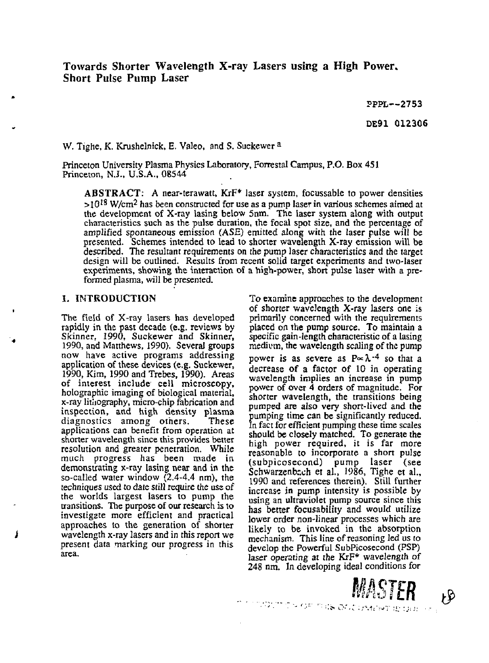PPPL—2753 DE91 012306

W. Tighe, K. Krushelnick, E. Valeo, and S. Suckewer <sup>a</sup>

Princeton University Plasma Physics Laboratory, Forrestal Campus, P.O. Box 451 Princeton, N.J., U.S.A., 08544

**ABSTRACT:** A near-terawatt, KrF\* laser system, focussable to power densities  $>10^{18}$  W/cm<sup>2</sup> has been constructed for use as a pump laser in various schemes aimed at the development of X-ray lasing below 5nm. The laser system along with output characteristics such as the pulse duration, the focal spot size, and the percentage of amplified spontaneous emission (ASE) emitted along with the laser pulse will be presented. Schemes intended to lead to shorter wavelength X-ray emission will be described. The resultant requirements on the pump laser characteristics and the target design will be outlined. Results from recent solid target experiments and two-laser experiments, showing the interaction of a high-power, short pulse laser with a preformed plasma, will be presented.

#### L **INTRODUCTION**

*t*

The field of X-ray lasers has developed rapidly in the past decade (e.g. reviews by Skinner, 1990, Suckewer and Skinner, 1990, and Matthews, 1990). Several groups now have active programs addressing application of these devices (e.g. Suckewer, 1990, Kim, 1990 and Trebes, 1990). Areas of interest include cell microscopy, holographic imaging of biological material, x-ray lithography, micro-chip fabrication and inspection, and high density plasma diagnostics among others. These applications can benefit from operation at shorter wavelength since this provides better resolution and greater penetration. While much progress has been made in demonstrating x-ray lasing near and in the so-called water window (2.4-4.4 nm), the techniques used to date still require the use of the worlds largest lasers to pump the transitions. The purpose of our research is to investigate more efficient and practical approaches to the generation of shorter wavelength x-ray lasers and in this report we present data marking our progress in this area.

To examine approaches to the development of shorter wavelength X-ray lasers one is primarily concerned with the requirements placed on the pump source. To maintain a specific gain-length characteristic of a lasing medium, the wavelength scaling of the pump power is as severe as  $P \propto \lambda^{-4}$  so that a decrease of a factor of 10 in operating wavelength implies an increase in pump power of over 4 orders of magnitude. For shorter wavelength, the transitions being pumped are also very short-lived and the pumping time can be significantly reduced. In fact for efficient pumping these time scales should be closely matched. To generate the high power required, it is far more reasonable to incorporate a short pulse (subpicosecond) pump laser (see Schwarzenbsch et al., 1986, Tighe et al., 1990 and references therein). Still further increase in pump intensity is possible by using an ultraviolet pump source since this has better focusability and would utilize lower order non-linear processes which are likely to be invoked in the absorption mechanism. This line of reasoning led us to develop the Powerful SubPicosecond (PSP) laser operating at the KrF\* wavelength of 248 nm. In developing ideal conditions for

*mm* **#**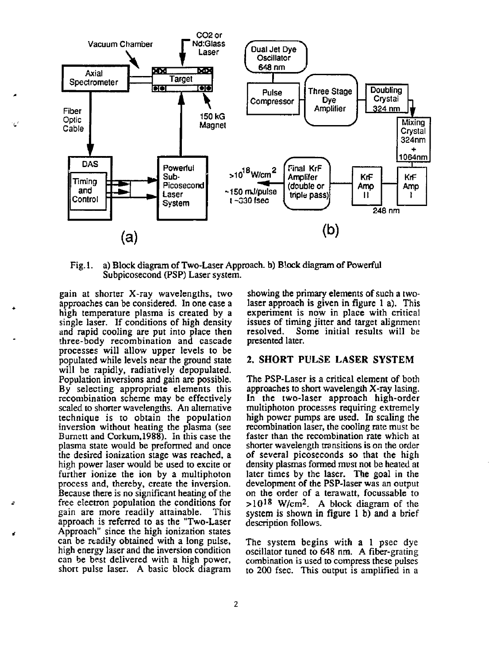

Fig. 1. a) Block diagram of Two-Laser Approach, b) Block diagram of Powerful Subpicosecond (PSP) Laser system.

gain at shorter X-ray wavelengths, two approaches can be considered. In one case a high temperature plasma is created by a single laser. If conditions of high density and rapid cooling are put into place then three-body recombination and cascade processes will allow upper levels to be populated while levels near the ground state will be rapidly, radiatively depopulated. Population inversions and gain are possible. By selecting appropriate elements this recombination scheme may be effectively scaled to shorter wavelengths. An alternative technique is to obtain the population inversion without heating the plasma (see Burnett and Corkum,1988). In this case the plasma state would be preformed and once the desired ionization stage was reached, a high power laser would be used to excite or further ionize the ion by a multiphoton process and, thereby, create the inversion. Because there is no significant heating of the free electron population the conditions for gain are more readily attainable. This approach is referred to as the "Two-Laser Approach" since the high ionization states can be readily obtained with a long pulse, high energy laser and the inversion condition can be best delivered with a high power, short pulse laser. A basic block diagram

showing the primary elements of such a twolaser approach is given in figure 1 a). This experiment is now in place with critical issues of timing jitter and target alignment resolved. Some initial results will be presented later.

# **2. SHORT PULSE LASER SYSTEM**

The PSP-Laser is a critical element of both approaches to short wavelength X-ray lasing. In the two-laser approach high-order muitiphoton processes requiring extremely high power pumps are used. In scaling the recombination laser, the cooling rate must be faster than the recombination rate which at shorter wavelength transitions is on the order of several picoseconds so that the high density plasmas formed must not be heated at later times by the laser. The goal in the development of the PSP-laser was an output on the order of a terawatt, focussable to  $>10^{18}$  W/cm<sup>2</sup>. A block diagram of the system is shown in figure 1 b) and a brief description follows.

The system begins with a 1 psec dye oscillator tuned to 648 nm. A fiber-grating combination is used to compress these pulses to 200 fsec. This output is amplified in a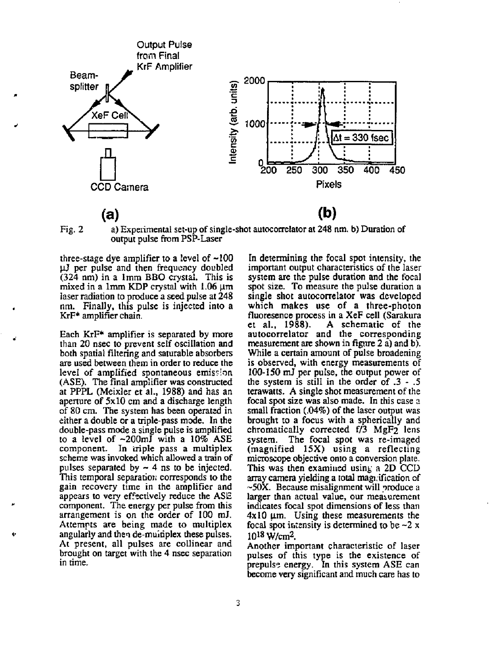

Fig. 2 a) Experimental set-up of single-shot autocorrelator at 248 nm. b) Duration of output pulse from PSP-Laser

three-stage dye amplifier to a level of ~100 juJ per pulse and then frequency doubled (324 nm) in a 1mm BBO crystal. This is mixed in a 1mm KDP crystal with  $1.06 \mu m$ laser radiation to produce a seed pulse at 248 nm. Finally, this pulse is injected into a KrF\* amplifier chain.

Each KrF\* amplifier is separated by more than 20 nsec to prevent self oscillation and both spatial filtering and saturable absorbers are used between them in order to reduce the level of amplified spontaneous emission (ASE). The final amplifier was constructed at PPPL (Meixler et al., 1988) and has an aperture of 5x10 cm and a discharge length of 80 cm. The system has been operated in either a double or a triple-pass mode. In the double-pass mode a single pulse is amplified to a level of ~200mJ with a 10% ASE component. In triple pass a multiplex scheme was invoked which allowed a train of pulses separated by  $\sim$  4 ns to be injected. This temporal separatior; corresponds to the gain recovery time in the amplifier and appears to very effectively reduce the ASE component. The energy per pulse from this arrangement is on the order of 100 mJ. Attempts are being made to multiplex angularly and then de-muitiplex these pulses. At present, all pulses are collinear and brought on target with the 4 nsec separation in time.

In determining the focal spot intensity, the important output characteristics of the laser system are the pulse duration and the focal spot size. To measure the pulse duration a single shot autocorrelator was developed which makes use of a three-photon fluoresence process in a XeF cell (Sarakura et al., 1988). A schematic of the autocorrelator and the corresponding measurement are shown in figure 2  $\hat{a}$ ) and b). While a certain amount of pulse broadening is observed, with energy measurements of 100-150 mJ per pulse, the output power of the system is still in the order of .3 - .5 terawatts. A single shot measurement of the focal spot size was also made. In this case a small fraction (.04%) of the laser output was brought to a focus with a spherically and chromatically corrected f/3 MgF2 lens system. The focal spot was re-imaged (magnified 15X) using a reflecting microscope objective onto a conversion plate. This was then examined using a 2D CCD array camera yielding a total magi.ification of  $~50X$ . Because misalignment will produce a larger than actual value, our measurement indicates focal spot dimensions of less than  $4x10 \mu m$ . Using these measurements the  $\frac{1}{2}$  focal spot intensity is determined to be  $\approx$  2 x เงเล่ อยงเ ห<br>1018 พ*.เ.*...<sup>9</sup> .

Another important characteristic of laser pulses of this type is the existence of prepuls? energy. In this system ASE can become very significant and much care has to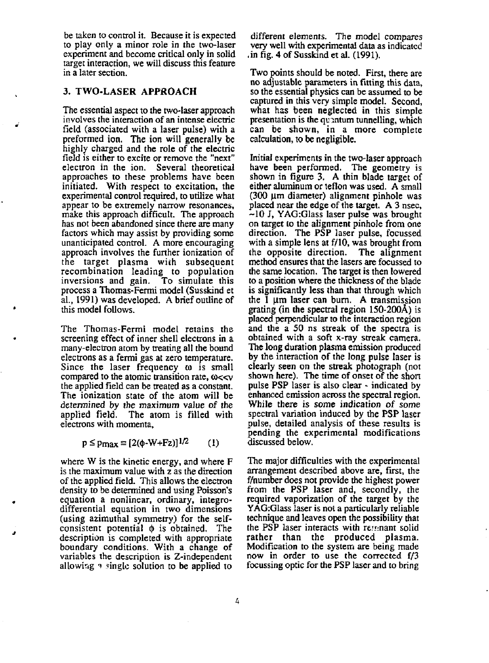be taken to control it. Because it is expected to play only a minor role in the two-laser experiment and become critical only in solid target interaction, we will discuss this feature in a later section.

# 3. TWO-LASER APPROACH

The essential aspect to the two-laser approach involves the interaction of an intense electric field (associated with a laser pulse) with a preformed ion. The ion will generally be highly charged and the role of the electric field is either to excite or remove the "next" electron in the ion. Several theoretical approaches to these problems have been initiated. With respect to excitation, the experimental control required, to utilize what appear to be extremely narrow resonances, make this approach difficult. The approach has not been abandoned since there are many factors which may assist by providing some unanticipated control. A more encouraging approach involves the further ionization of the target plasma with subsequent recombination leading to population inversions and gain. To simulate this process a Thomas-Fermi model (Susskind et al., 1991) was developed. A brief outline of this model follows.

The Thomas-Fermi model retains the screening effect of inner shell electrons in a many-electron atom by treating all the bound electrons as a fermi gas at zero temperature. Since the laser frequency  $\omega$  is small compared to the atomic transition rate,  $\omega < \sqrt{ }$ the applied field can be treated as a constant. The ionization state of the atom will be determined by the maximum value of the applied field. The atom is filled with electrons with momenta,

$$
p \le p_{\text{max}} \equiv [2(\phi - W + Fz)]^{1/2} \tag{1}
$$

where W is the kinetic energy, and where F is the maximum value with z as the direction of the applied field. This allows the electron density to be determined and using Poisson's equation a nonlinear, ordinary, integrodifferential equation in two dimensions (using azimuthal symmetry) for the selfconsistent potential  $\phi$  is obtained. The description is completed with appropriate boundary conditions. With a change of variables the description is Z-independent allowing  $\alpha$  single solution to be applied to

different elements. The model compares very well with experimental data as indicated .in fig. 4 of Susskind et al. (1991).

Two points should be noted. First, there are no adjustable parameters in fitting this data, so the essential physics can be assumed to be captured in this very simple model. Second, what has been neglected in this simple presentation is the quantum tunnelling, which can be shown, in a more complete calculation, to be negligible.

Initial experiments in the two-laser approach have been performed. The geometry is shown in figure 3. A thin blade target of either aluminum or teflon was used. A small (300 um diameter) alignment pinhole was placed near the edge of the target. A 3 nsec,  $-10$  J, YAG: Glass laser pulse was brought on target to the alignment pinhole from one direction. The PSP laser pulse, focussed with a simple lens at f/10, was brought from the opposite direction. The alignment method ensures that the lasers are focussed to the same location. The target is then lowered to a position where the thickness of the blade is significantly less than that through which the 1  $\mu$ m laser can burn. A transmission grating (in the spectral region 150-200A) is placed perpendicular to the interaction region and the a SO ns streak of the spectra is obtained with a soft x-ray streak camera. The long duration plasma emission produced by the interaction of the long pulse laser is clearly seen on the streak photograph (not shown here). The time of onset of the short pulse PSP laser is also clear - indicated by enhanced emission across the spectral region. While there is *some* indication of some spectral variation induced by the PSP laser pulse, detailed analysis of these results is pending the experimental modifications discussed below.

The major difficulties with the experimental arrangement described above are, first, the f/number does not provide the highest power from the PSP laser and, secondly, the required vaporization of the target by the YAG:Glass laser is not a particularly reliable technique and leaves open the possibility that the PSP laser interacts with remnant solid rather than the produced plasma. Modification to the system are being made now in order to use the corrected f/3 focussing optic for the PSP laser and to bring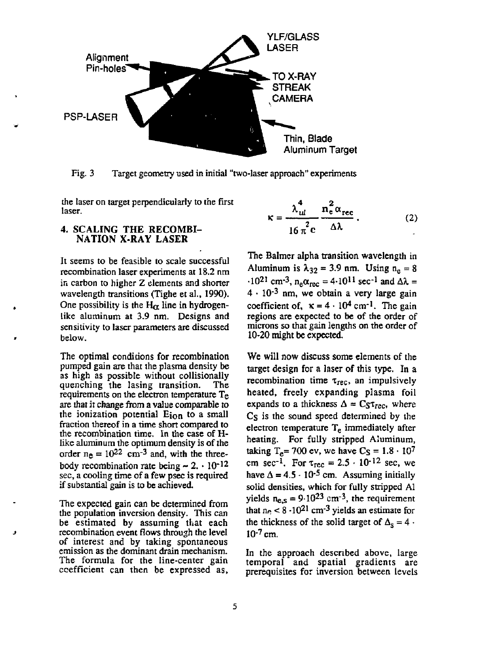

Fig. 3 Target geometry used in initial "two-laser approach" experiments

the laser on target perpendicularly to the first laser.

### **4. SCALING THE RECOMBI-NATION X-RAY LASER**

It seems to be feasible to scale successful recombination laser experiments at 18.2 nm in carbon to higher Z elements and shorter wavelength transitions (Tighe et al., 1990). One possibility is the  $H_{\alpha}$  line in hydrogenlike aluminum at 3.9 nm. Designs and sensitivity to laser parameters are discussed below.

The optimal conditions for recombination pumped gain are that the plasma density be as high as possible without collisionally<br>quenching the lasing transition. The quenching the lasing transition. requirements on the electron temperature Te are that it change from a value comparable to the ionization potential  $E_{ion}$  to a small fraction thereof in a time short compared to the recombination time. In the case of Hlike aluminum the optimum density is of the order  $n_e = 10^{22}$  cm<sup>-3</sup> and, with the threebody recombination rate being  $\sim 2. \cdot 10^{-12}$ sec, a cooling time of a few psec is required if substantial gain is to be achieved.

The expected gain can be determined from the population inversion density. This can be estimated by assuming that each recombination event flows through the level of interest and by taking spontaneous emission as the dominant drain mechanism. The formula for the line-center gain coefficient can then be expressed as,

$$
\kappa = \frac{\lambda_{ul}^4}{16 \pi^2 c} \frac{n_e^2 \alpha_{rec}}{\Delta \lambda}.
$$
 (2)

The Balmer alpha transition wavelength in Aluminum is  $\lambda_{32} = 3.9$  nm. Using  $n_e = 8$  $\cdot 10^{21}$  cm<sup>-3</sup>, n<sub>e</sub> $\alpha_{\text{max}} = 4.10^{11}$  sec<sup>-1</sup> and  $\Delta \lambda =$  $4 \cdot 10^{-3}$  nm, we obtain a very large gain coefficient of,  $x = 4 \times 10^4$  cm<sup>-1</sup>. The gain regions are expected to be of the order of microns so that gain lengths on the order of 10-20 might be expected.

We will now discuss some elements of the target design for a laser of this type. In a recombination time *xiec,* an impulsively heated, freely expanding plasma foil expands to a thickness  $\Delta = C_S \tau_{rec}$ , where C<sub>S</sub> is the sound speed determined by the  $e$ lectron temperature  $T_e$  immediately after heating. For fully stripped Aiuminum, taking  $T_e$ = 700 ev, we have  $C_S = 1.8 \cdot 10^7$ cm sec<sup>-1</sup>. For  $\tau_{\text{rec}} = 2.5 \cdot 10^{-12}$  sec, we have  $\Delta = 4.5 \cdot 10^{-5}$  cm. Assuming initially solid densities, which for fully stripped Al vields  $n_e = 9.10^{23}$  cm<sup>-3</sup>, the requirement that  $n_e < 8 \cdot 10^{21}$  cm<sup>-3</sup> vields an estimate for the thickness of the solid target of  $\Lambda_s = 4$ .  $10^{-7}$  cm.

In the approach described above, large temporal and spatial gradients are prerequisites for inversion between levels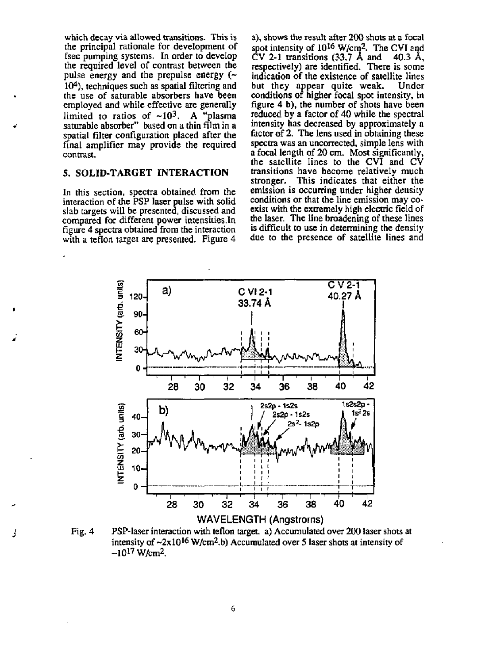which decay via allowed transitions. This is the principal rationale for development of fsec pumping systems. In order to develop the required level of contrast between the pulse energy and the prepulse energy  $($ 10<sup>4</sup> ), techniques such as spatial filtering and the use of saturable absorbers have been employed and while effective are generally limited to ratios of  $\sim 10^3$ . A "plasma" saturable absorber" based on a thin film in a spatial filter configuration placed after the final amplifier may provide the required contrast.

#### 5. SOLID-TARGET INTERACTION

In this section, spectra obtained from the interaction of the PSP laser pulse with solid slab targets will be presented, discussed and compared for different power intensities.In figure 4 spectra obtained from the interaction with a teflon target are presented. Figure 4

a), shows the result after 200 shots at a focal spot intensity of  $10^{16}$  W/cm<sup>2</sup>. The CVI and CV 2-1 transitions (33.7 A and 40.3 A, respectively) are identified. There is some indication of the existence of satellite lines but they appear quite weak. Under conditions of higher focal spot intensity, in figure 4 b), the number of shots have been reduced by a factor of 40 while the spectral intensity has decreased by approximately a factor of 2. The lens used in obtaining these spectra was an uncorrected, simple lens with a focal length of 20 cm. Most significantly, the satellite lines to the CVI and CV transitions have become relatively much stronger. This indicates that either the emission is occurring under higher density conditions or that the line emission may coexist with the extremely high electric field of the laser. The line broadening of these lines is difficult to use in determining the density due to the presence of satellite lines and



Fig. 4 PSP-laser interaction with teflon target a) Accumulated over 200 laser shots at intensity of  $\sim 2 \times 10^{16}$  W/cm<sup>2</sup>.b) Accumulated over 5 laser shots at intensity of  $-10^{17}$  W/cm<sup>2</sup>.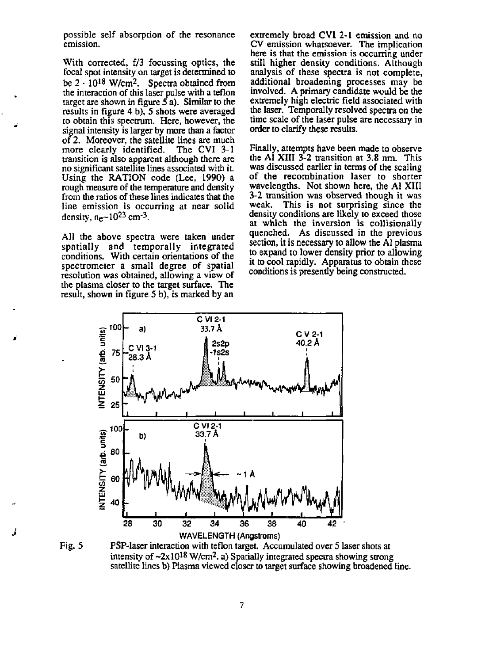possible self absorption of the resonance emission.

With corrected, f/3 focussing optics, the focal spot intensity on target is determined to be  $2 \cdot 10^{18}$  W/cm<sup>2</sup>. Spectra obtained from the interaction of this laser pulse with a teflon target are shown in figure 5 a). Similar to the results in figure 4 b), 5 shots were averaged to obtain this spectrum. Here, however, the signal intensity is larger by more than a factor of 2. Moreover, the satellite lines are much more clearly identified. The CVI 3-1 more clearly identified. transition is also apparent although there are no significant satellite lines associated with it. Using the RATION code (Lee, 1990) a rough measure of the temperature and density from the ratios of these lines indicates that the line emission is occurring at near solid density, n<sub>e</sub>~10<sup>23</sup> cm<sup>-3</sup>.

All the above spectra were taken under spatially and temporally integrated conditions. With certain orientations of the spectrometer a small degree of spatial resolution was obtained, allowing a view of the plasma closer to the target surface. The result, shown in figure 5 b), is marked by an

extremely broad CVI 2-1 emission and no CV emission whatsoever. The implication here is that the emission is occurring under still higher density conditions. Although analysis of these spectra is not complete, additional broadening processes may be involved. A primary candidate would be the extremely high electric field associated with the laser. Temporally resolved spectra on the time scale of the laser pulse are necessary in order to clarify these results.

Finally, attempts have been made to observe the Al XIII 3-2 transition at 3.8 nm. This was discussed earlier in terms of the scaling of the recombination laser to shorter wavelengths. Not shown here, the Al XIII 3-2 transition was observed though it was weak. This is not surprising since the This is not surprising since the density conditions are likely to exceed those at which the inversion is collisionaily quenched. As discussed in the previous section, it is necessary to allow the Al plasma to expand to lower density prior to allowing it to cool rapidly. Apparatus to obtain these conditions is presently being constructed.



Fig. 5 PSP-laser interaction with teflon target. Accumulated over 5 laser shots at intensity of  $\sim 2 \times 10^{18}$  W/cm<sup>2</sup>. a) Spatially integrated spectra showing strong satellite lines b) Plasma viewed closer to target surface showing broadened line.